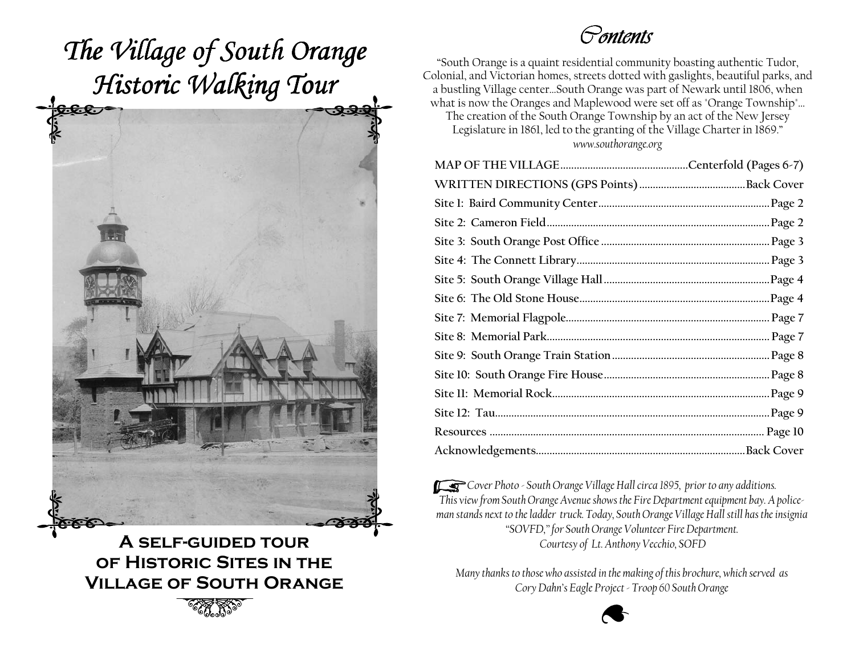

A self-guided tour of Historic Sites in the Village of South Orange

**2007 SEPTEMBER 2007 STATES PROPERTY AND RESPONSE TO A REPORT OF THE SEPTEMBER 2007** 

#### Contents

"South Orange is a quaint residential community boasting authentic Tudor, Colonial, and Victorian homes, streets dotted with gaslights, beautiful parks, and a bustling Village center…South Orange was part of Newark until 1806, when what is now the Oranges and Maplewood were set off as "Orange Township"… The creation of the South Orange Township by an act of the New Jersey Legislature in 1861, led to the granting of the Village Charter in 1869." www.southorange.org

**Cover Photo - South Orange Village Hall circa 1895, prior to any additions.** This view from South Orange Avenue shows the Fire Department equipment bay. A policeman stands next to the ladder truck. Today, South Orange Village Hall still has the insignia "SOVFD," for South Orange Volunteer Fire Department. Courtesy of Lt. Anthony Vecchio, SOFD

> Many thanks to those who assisted in the making of this brochure, which served as Cory Dahn's Eagle Project - Troop 60 South Orange

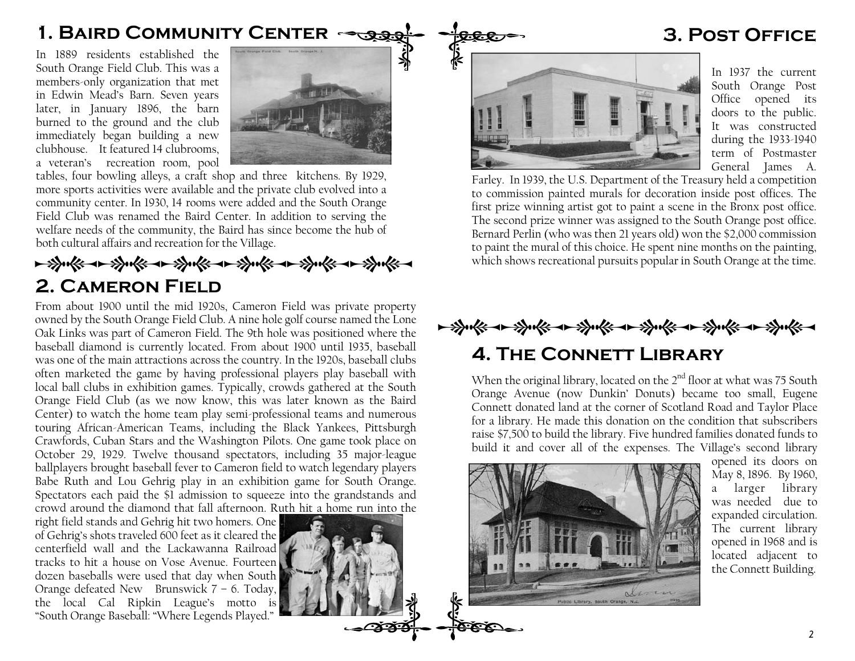#### 1. BAIRD COMMUNITY CENTER  $\rightarrow$  3. Post Office

In 1889 residents established the South Orange Field Club. This was a members-only organization that met in Edwin Mead's Barn. Seven years later, in January 1896, the barn burned to the ground and the club immediately began building a new clubhouse. It featured 14 clubrooms, a veteran's recreation room, pool



tables, four bowling alleys, a craft shop and three kitchens. By 1929, more sports activities were available and the private club evolved into a community center. In 1930, 14 rooms were added and the South Orange Field Club was renamed the Baird Center. In addition to serving the welfare needs of the community, the Baird has since become the hub of both cultural affairs and recreation for the Village.

#### → 等表 → 等表 → 等表 → 等表 → 等表 → 等表 2. Cameron Field

 From about 1900 until the mid 1920s, Cameron Field was private property owned by the South Orange Field Club. A nine hole golf course named the Lone Oak Links was part of Cameron Field. The 9th hole was positioned where the baseball diamond is currently located. From about 1900 until 1935, baseball was one of the main attractions across the country. In the 1920s, baseball clubs often marketed the game by having professional players play baseball with local ball clubs in exhibition games. Typically, crowds gathered at the South Orange Field Club (as we now know, this was later known as the Baird Center) to watch the home team play semi-professional teams and numerous touring African-American Teams, including the Black Yankees, Pittsburgh Crawfords, Cuban Stars and the Washington Pilots. One game took place on October 29, 1929. Twelve thousand spectators, including 35 major-league ballplayers brought baseball fever to Cameron field to watch legendary players Babe Ruth and Lou Gehrig play in an exhibition game for South Orange. Spectators each paid the \$1 admission to squeeze into the grandstands and crowd around the diamond that fall afternoon. Ruth hit a home run into the

right field stands and Gehrig hit two homers. One of Gehrig's shots traveled 600 feet as it cleared the centerfield wall and the Lackawanna Railroad tracks to hit a house on Vose Avenue. Fourteen dozen baseballs were used that day when South Orange defeated New Brunswick 7 – 6. Today, the local Cal Ripkin League's motto is "South Orange Baseball: "Where Legends Played."





In 1937 the current South Orange Post Office opened its doors to the public. It was constructed during the 1933-1940 term of Postmaster General James A.

Farley. In 1939, the U.S. Department of the Treasury held a competition to commission painted murals for decoration inside post offices. The first prize winning artist got to paint a scene in the Bronx post office. The second prize winner was assigned to the South Orange post office. Bernard Perlin (who was then 21 years old) won the \$2,000 commission to paint the mural of this choice. He spent nine months on the painting, which shows recreational pursuits popular in South Orange at the time.

### 4. The Connett Library → 等表中的文化→ 第三个十多元的十多元的

When the original library, located on the  $2<sup>nd</sup>$  floor at what was 75 South Orange Avenue (now Dunkin' Donuts) became too small, Eugene Connett donated land at the corner of Scotland Road and Taylor Place for a library. He made this donation on the condition that subscribers raise \$7,500 to build the library. Five hundred families donated funds to build it and cover all of the expenses. The Village's second library



opened its doors on May 8, 1896. By 1960, a larger library was needed due to expanded circulation. The current library opened in 1968 and is located adjacent to the Connett Building.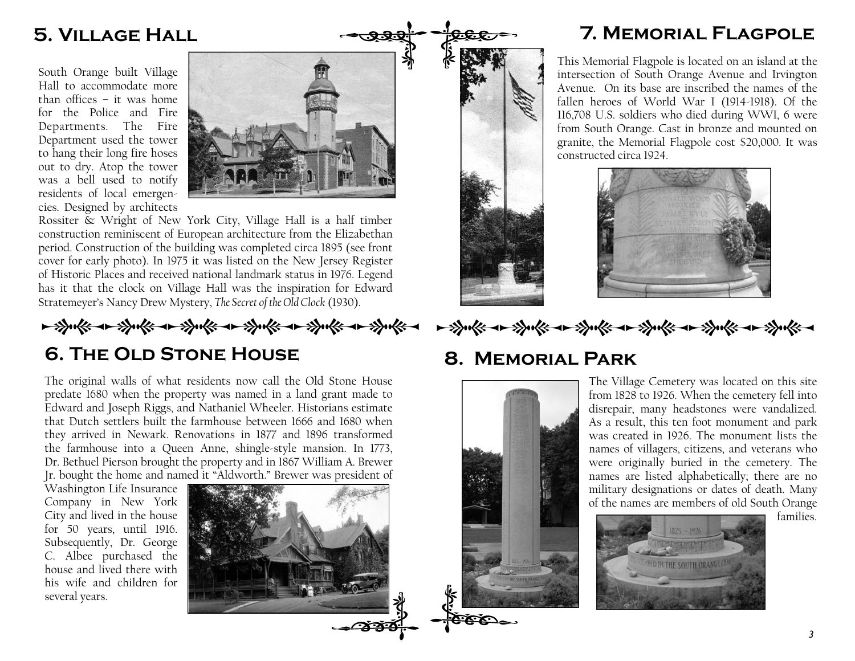#### 5. Village Hall

South Orange built Village Hall to accommodate more than offices – it was home for the Police and Fire Departments. The Fire Department used the tower to hang their long fire hoses out to dry. Atop the tower was a bell used to notify residents of local emergencies. Designed by architects



Rossiter & Wright of New York City, Village Hall is a half timber construction reminiscent of European architecture from the Elizabethan period. Construction of the building was completed circa 1895 (see front cover for early photo). In 1975 it was listed on the New Jersey Register of Historic Places and received national landmark status in 1976. Legend has it that the clock on Village Hall was the inspiration for Edward Stratemeyer's Nancy Drew Mystery, The Secret of the Old Clock (1930).

→学术→学术→学术→学术→学术→→学术→

#### 6. The Old Stone House

The original walls of what residents now call the Old Stone House predate 1680 when the property was named in a land grant made to Edward and Joseph Riggs, and Nathaniel Wheeler. Historians estimate that Dutch settlers built the farmhouse between 1666 and 1680 when they arrived in Newark. Renovations in 1877 and 1896 transformed the farmhouse into a Queen Anne, shingle-style mansion. In 1773, Dr. Bethuel Pierson brought the property and in 1867 William A. Brewer Jr. bought the home and named it "Aldworth." Brewer was president of

Washington Life Insurance Company in New York City and lived in the house for 50 years, until 1916. Subsequently, Dr. George C. Albee purchased the house and lived there with his wife and children for several years.



#### 7. Memorial Flagpole

This Memorial Flagpole is located on an island at the intersection of South Orange Avenue and Irvington Avenue. On its base are inscribed the names of the fallen heroes of World War I (1914-1918). Of the 116,708 U.S. soldiers who died during WWI, 6 were from South Orange. Cast in bronze and mounted on granite, the Memorial Flagpole cost \$20,000. It was constructed circa 1924.





→学天下→学天下→学天下→学天下→学天下→

#### 8. Memorial Park



The Village Cemetery was located on this site from 1828 to 1926. When the cemetery fell into disrepair, many headstones were vandalized. As a result, this ten foot monument and park was created in 1926. The monument lists the names of villagers, citizens, and veterans who were originally buried in the cemetery. The names are listed alphabetically; there are no military designations or dates of death. Many of the names are members of old South Orange



families.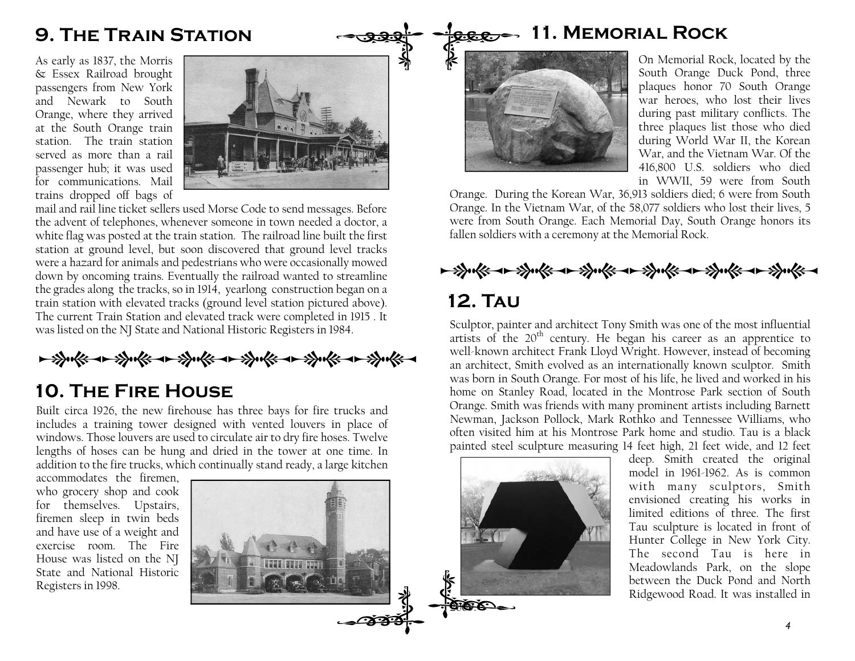#### 9. The Train Station

As early as 1837, the Morris & Essex Railroad brought passengers from New York and Newark to South Orange, where they arrived at the South Orange train station. The train station served as more than a rail passenger hub; it was used for communications. Mail trains dropped off bags of



mail and rail line ticket sellers used Morse Code to send messages. Before the advent of telephones, whenever someone in town needed a doctor, a white flag was posted at the train station. The railroad line built the first station at ground level, but soon discovered that ground level tracks were a hazard for animals and pedestrians who were occasionally mowed down by oncoming trains. Eventually the railroad wanted to streamline the grades along the tracks, so in 1914, yearlong construction began on a train station with elevated tracks (ground level station pictured above). The current Train Station and elevated track were completed in 1915 . It was listed on the NJ State and National Historic Registers in 1984.

- Sucke a spoke a spoke a spoke a spoke a

#### 10. The Fire House

Built circa 1926, the new firehouse has three bays for fire trucks and includes a training tower designed with vented louvers in place of windows. Those louvers are used to circulate air to dry fire hoses. Twelve lengths of hoses can be hung and dried in the tower at one time. In addition to the fire trucks, which continually stand ready, a large kitchen

accommodates the firemen, who grocery shop and cook for themselves. Upstairs, firemen sleep in twin beds and have use of a weight and exercise room. The Fire House was listed on the NJ State and National Historic Registers in 1998.



#### $f_{\text{R.E.}}$  11. MEMORIAL ROCK



On Memorial Rock, located by the South Orange Duck Pond, three plaques honor 70 South Orange war heroes, who lost their lives during past military conflicts. The three plaques list those who died during World War II, the Korean War, and the Vietnam War. Of the 416,800 U.S. soldiers who died in WWII, 59 were from South

 Orange. During the Korean War, 36,913 soldiers died; 6 were from South Orange. In the Vietnam War, of the 58,077 soldiers who lost their lives, 5 were from South Orange. Each Memorial Day, South Orange honors its fallen soldiers with a ceremony at the Memorial Rock.



#### 12. Tau

Sculptor, painter and architect Tony Smith was one of the most influential artists of the 20<sup>th</sup> century. He began his career as an apprentice to well-known architect Frank Lloyd Wright. However, instead of becoming an architect, Smith evolved as an internationally known sculptor. Smith was born in South Orange. For most of his life, he lived and worked in his home on Stanley Road, located in the Montrose Park section of South Orange. Smith was friends with many prominent artists including Barnett Newman, Jackson Pollock, Mark Rothko and Tennessee Williams, who often visited him at his Montrose Park home and studio. Tau is a black painted steel sculpture measuring 14 feet high, 21 feet wide, and 12 feet

deep. Smith created the original model in 1961-1962. As is common with many sculptors, Smith envisioned creating his works in limited editions of three. The first Tau sculpture is located in front of Hunter College in New York City. The second Tau is here in Meadowlands Park, on the slope between the Duck Pond and North Ridgewood Road. It was installed in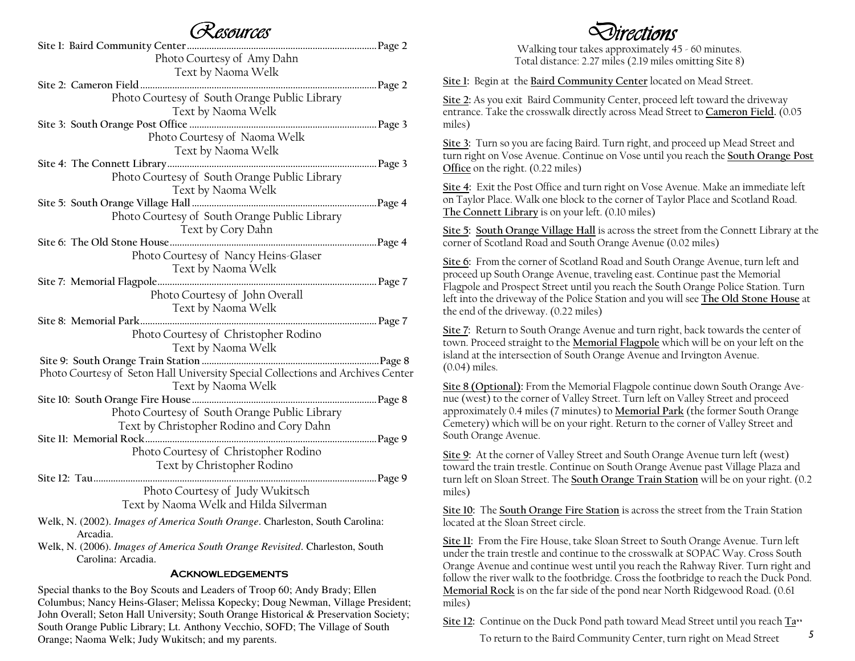#### Resources

| $\sim$ worm oo                                                                  |  |
|---------------------------------------------------------------------------------|--|
|                                                                                 |  |
| Photo Courtesy of Amy Dahn                                                      |  |
| Text by Naoma Welk                                                              |  |
|                                                                                 |  |
| Photo Courtesy of South Orange Public Library                                   |  |
| Text by Naoma Welk                                                              |  |
|                                                                                 |  |
| Photo Courtesy of Naoma Welk                                                    |  |
| Text by Naoma Welk                                                              |  |
|                                                                                 |  |
| Photo Courtesy of South Orange Public Library                                   |  |
|                                                                                 |  |
| Text by Naoma Welk                                                              |  |
|                                                                                 |  |
| Photo Courtesy of South Orange Public Library                                   |  |
| Text by Cory Dahn                                                               |  |
|                                                                                 |  |
| Photo Courtesy of Nancy Heins-Glaser                                            |  |
| Text by Naoma Welk                                                              |  |
|                                                                                 |  |
| Photo Courtesy of John Overall                                                  |  |
| Text by Naoma Welk                                                              |  |
| Page 7                                                                          |  |
| Photo Courtesy of Christopher Rodino                                            |  |
| Text by Naoma Welk                                                              |  |
|                                                                                 |  |
| Photo Courtesy of Seton Hall University Special Collections and Archives Center |  |
| Text by Naoma Welk                                                              |  |
|                                                                                 |  |
| Photo Courtesy of South Orange Public Library                                   |  |
|                                                                                 |  |
| Text by Christopher Rodino and Cory Dahn                                        |  |
|                                                                                 |  |
| Photo Courtesy of Christopher Rodino                                            |  |
| Text by Christopher Rodino                                                      |  |
|                                                                                 |  |
| Photo Courtesy of Judy Wukitsch                                                 |  |
| Text by Naoma Welk and Hilda Silverman                                          |  |

- Welk, N. (2002). *Images of America South Orange*. Charleston, South Carolina: Arcadia.
- Welk, N. (2006). *Images of America South Orange Revisited*. Charleston, South Carolina: Arcadia.

#### **ACKNOWLEDGEMENTS**

 Special thanks to the Boy Scouts and Leaders of Troop 60; Andy Brady; Ellen Columbus; Nancy Heins-Glaser; Melissa Kopecky; Doug Newman, Village President; John Overall; Seton Hall University; South Orange Historical & Preservation Society; South Orange Public Library; Lt. Anthony Vecchio, SOFD; The Village of South Orange; Naoma Welk; Judy Wukitsch; and my parents.

## rections

 Walking tour takes approximately 45 - 60 minutes. Total distance: 2.27 miles (2.19 miles omitting Site 8)

Site 1: Begin at the Baird Community Center located on Mead Street.

Site 2: As you exit Baird Community Center, proceed left toward the driveway entrance. Take the crosswalk directly across Mead Street to Cameron Field. (0.05 miles)

Site 3: Turn so you are facing Baird. Turn right, and proceed up Mead Street and turn right on Vose Avenue. Continue on Vose until you reach the South Orange Post Office on the right. (0.22 miles)

Site 4: Exit the Post Office and turn right on Vose Avenue. Make an immediate left on Taylor Place. Walk one block to the corner of Taylor Place and Scotland Road. The Connett Library is on your left. (0.10 miles)

Site 5: South Orange Village Hall is across the street from the Connett Library at the corner of Scotland Road and South Orange Avenue (0.02 miles)

Site 6: From the corner of Scotland Road and South Orange Avenue, turn left and proceed up South Orange Avenue, traveling east. Continue past the Memorial Flagpole and Prospect Street until you reach the South Orange Police Station. Turn left into the driveway of the Police Station and you will see The Old Stone House at the end of the driveway. (0.22 miles)

Site 7: Return to South Orange Avenue and turn right, back towards the center of town. Proceed straight to the <u>Memorial Flagpole</u> which will be on your left on the island at the intersection of South Orange Avenue and Irvington Avenue. (0.04) miles.

Site 8 (Optional): From the Memorial Flagpole continue down South Orange Avenue (west) to the corner of Valley Street. Turn left on Valley Street and proceed approximately 0.4 miles (7 minutes) to <u>Memorial Park</u> (the former South Orange Cemetery) which will be on your right. Return to the corner of Valley Street and South Orange Avenue.

Site 9: At the corner of Valley Street and South Orange Avenue turn left (west) toward the train trestle. Continue on South Orange Avenue past Village Plaza and turn left on Sloan Street. The <u>South Orange Train Station</u> will be on your right. (0.2 miles)

Site 10: The South Orange Fire Station is across the street from the Train Station located at the Sloan Street circle.

Site 11: From the Fire House, take Sloan Street to South Orange Avenue. Turn left under the train trestle and continue to the crosswalk at SOPAC Way. Cross South Orange Avenue and continue west until you reach the Rahway River. Turn right and follow the river walk to the footbridge. Cross the footbridge to reach the Duck Pond. Memorial Rock is on the far side of the pond near North Ridgewood Road. (0.61)<br>——————————————————— miles)

Site 12: Continue on the Duck Pond path toward Mead Street until you reach  $\frac{Ta}{12}$ .<br>To return to the Baird Community Center, turn right on Mead Street 5